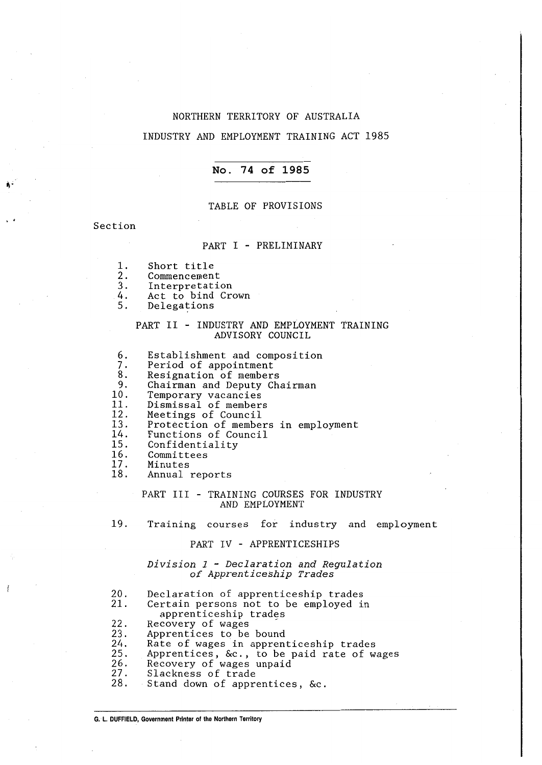# NORTHERN TERRITORY OF AUSTRALIA

#### INDUSTRY AND EMPLOYMENT TRAINING ACT 1985

#### **No. 74 of 1985**

#### TABLE OF PROVISIONS

Section

# PART I - PRELIMINARY

1. Short title<br>2. Commencemen

2. Commencement<br>3. Interpretation

3. Interpretation<br>4. Act to bind Cro 4. Act to bind Crown<br>5. Delegations

**Delegations** 

#### PART II - INDUSTRY AND EMPLOYMENT TRAINING ADVISORY COUNCIL

6. Establishment and composition 7. Period of appointment<br>8. Resignation of members 8. Resignation of members<br>9. Chairman and Deputy Ch 9. Chairman and Deputy Chairman<br>10. Temporary vacancies 10. Temporary vacancies 11. Dismissal of members 12. Meetings of Council 13. Protection of members in employment 14. Functions of Council<br>15. Confidentiality 15. Confidentiality<br>16. Committees 16. Committees<br>17. Minutes 17. Minutes<br>18. Annual Annual reports PART III - TRAINING COURSES FOR INDUSTRY AND EMPLOYMENT 19. Training courses for industry and employment PART IV - APPRENTICESHIPS

#### *Division 1* - *Declaration and Regulation of Apprenticeship Trades*

| Declaration of apprenticeship trades       |
|--------------------------------------------|
| Certain persons not to be employed in      |
| apprenticeship trades                      |
| Recovery of wages                          |
| Apprentices to be bound                    |
| Rate of wages in apprenticeship trades     |
| Apprentices, &c., to be paid rate of wages |
| Recovery of wages unpaid                   |
| Slackness of trade                         |
| Stand down of apprentices, &c.             |
|                                            |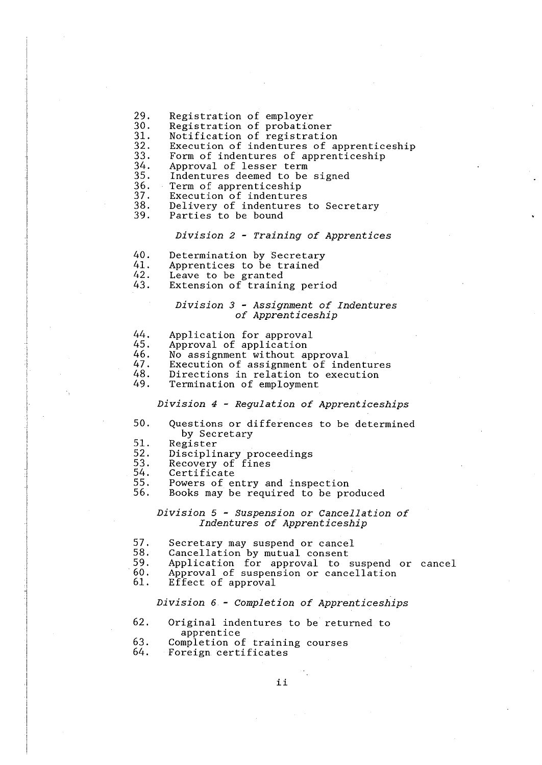| 29. | Registration of employer                  |
|-----|-------------------------------------------|
| 30. | Registration of probationer               |
| 31. | Notification of registration              |
| 32. | Execution of indentures of apprenticeship |
| 33. | Form of indentures of apprenticeship      |
| 34. | Approval of lesser term                   |
| 35. | Indentures deemed to be signed            |
| 36. | Term of apprenticeship                    |
| 37. | Execution of indentures                   |
| 38. | Delivery of indentures to Secretary       |
|     | 39. Parties to be bound                   |
|     |                                           |
|     | Division 2 - Training of Apprentices      |
|     |                                           |

- 40. Determination by Secretary<br>41. Apprentices to be trained
- 41. Apprentices to be trained<br>42. Leave to be granted
- 42. Leave to be granted
- 43. Extension of training period

### *Division 3* - *Assignment of Indentures of Apprenticeship*

- 44. Application for approval<br>45. Approval of application
- 45. Approval of application<br>46. No assignment without am
- 
- 46. No assignment without approval<br>47. Execution of assignment of ind 47. Execution of assignment of indentures<br>48. Directions in relation to execution
- 48. Directions in relation to execution<br>49. Termination of employment
- Termination of employment

### *Division 4* - *Regulation of Apprenticeships*

- 50. Questions or differences to be determined by Secretary
- 51. Register<br>52. Discipli
- 52. Disciplinary proceedings<br>53. Recovery of fines<br>54. Certificate
- 
- 54. Certificate<br>55. Powers of e
- 55. Powers of entry and inspection<br>56. Books may be required to be pr
- 56. Books may be required to be produced

*Division 5* - *Suspension or Cancellation of Indentures of Apprenticeship* 

- 57. Secretary may suspend or cancel<br>58. Cancellation by mutual consent
- 58. Cancellation by mutual consent<br>59. Application for approval to
- 59. Application for approval to suspend or cancel<br>60. Approval of suspension or cancellation
- 60. Approval of suspension or cancellation
- Effect of approval

# *Division 6* - *Completion of Apprenticeships*

- 62. Original indentures to be returned to apprentice
- 63. Completion of training courses<br>64. Foreign certificates
- 64. Foreign certificates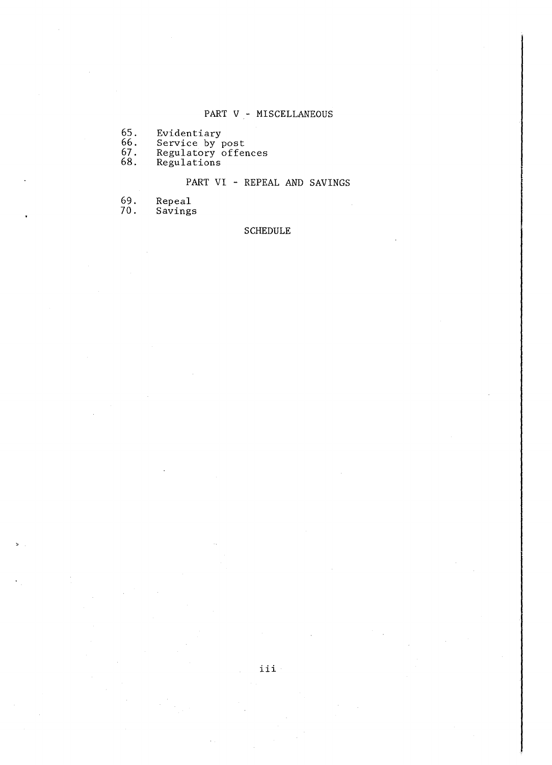# PART V - MISCELLANEOUS

| 65. |  | Evidentiary |
|-----|--|-------------|
|     |  |             |

- 66. Service by post
- 67. Regulatory offences
- 68. Regulations

# PART VI - REPEAL AND SAVINGS

- 69. Repeal
- 70. Savings

# SCHEDULE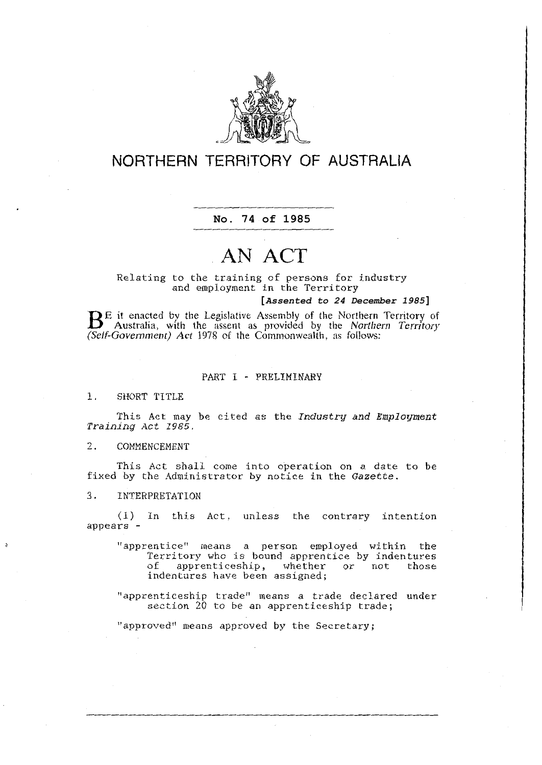

# **NORTHERN TERRITORY OF AUSTRALIA**

# **No. 74 of 1985**

# **AN ACT**

Relating to the training of persons for industry and employment in the Territory

**[***Assented to 24 December 1985***]**

**BE** it enacted by the Legislative Assembly of the Northern Territory of Australia, with the assent as provided by the *Northern Territory Colf Covernment*) Act 1078 of the Commonwoodth as follows *(Self-Government) Act* 1978 of the Commonwealth, as follows:

# PART I - PRELIMINARY

1. SHORT TITLE

This Act may be cited as the *Industry and Employment Training Act 1985.* 

2. COMMENCEMENT

This Act shall come into operation on a date to be fixed by the Administrator by notice in the *Gazette.* 

3. INTERPRETATION

(1) In this Act, unless the contrary intention appears -

- "apprentice" means a person employed within the Territory who is bound apprentice by indentures<br>of apprenticeship, whether or not those of apprenticeship, whether or not indentures have been assigned;
- "apprenticeship trade" means a trade declared under section  $20$  to be an apprenticeship trade;

"approved" means approved by the Secretary;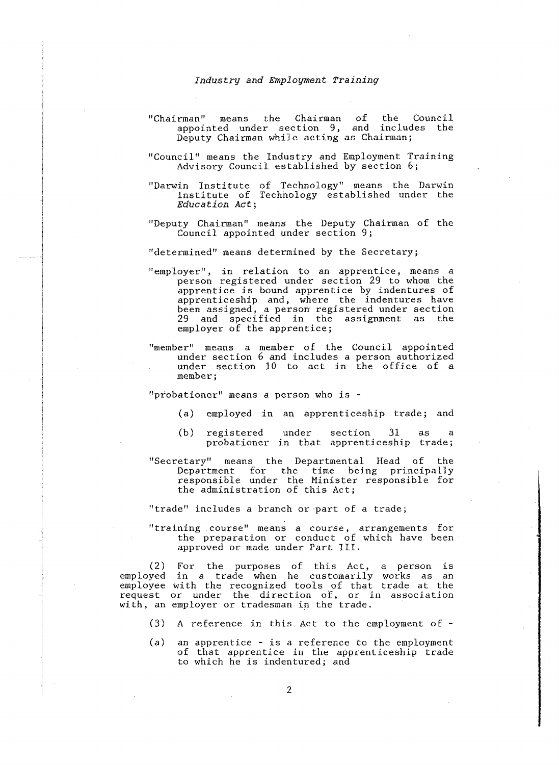- "Chairman" means the Chairman of the Council appointed under section 9, and includes the Deputy Chairman while acting as Chairman;
- "Council" means the Industry and Employment Training Advisory Council established by section 6;
- "Darwin Institute of Technology" means the Darwin Institute of Technology established under the *Education Act;*
- "Deputy Chairman" means the Deputy Chairman of the Council appointed under section 9;

"determined" means determined by the Secretary;

- "employer", in relation to an apprentice, means a person registered under section 29 to whom the apprentice is bound apprentice by indentures of apprenticeship and, where the indentures have been assigned, a person registered under section 29 and specified in the assignment as the employer of the apprentice;
- "member" means a member of the Council appointed under section 6 and includes a person authorized under section 10 to act in the office of a member;

"probationer" means a person who is -

- (a) employed in an apprenticeship trade; and
- (b) registered probationer in that apprenticeship trade; under section 31 as a
- "Secretary" means the Departmental Head of the Department for the time being principally responsible under the Minister responsible for the administration of this Act;

"trade" includes a branch or ·part of a trade;

"training course" means a course, arrangements for the preparation or conduct of which have been approved or made under Part III.

(2) employed employed in a trade when he customarily works as an<br>employee with the recognized tools of that trade at the request or under the direction of, or in association with, an employer or tradesman in the trade. For the purposes of this Act, in a trade when he customarily a person is

- (3) A reference in this Act to the employment of -
- (a) an apprentice is a reference to the employment of that apprentice in the apprenticeship trade to which he is indentured; and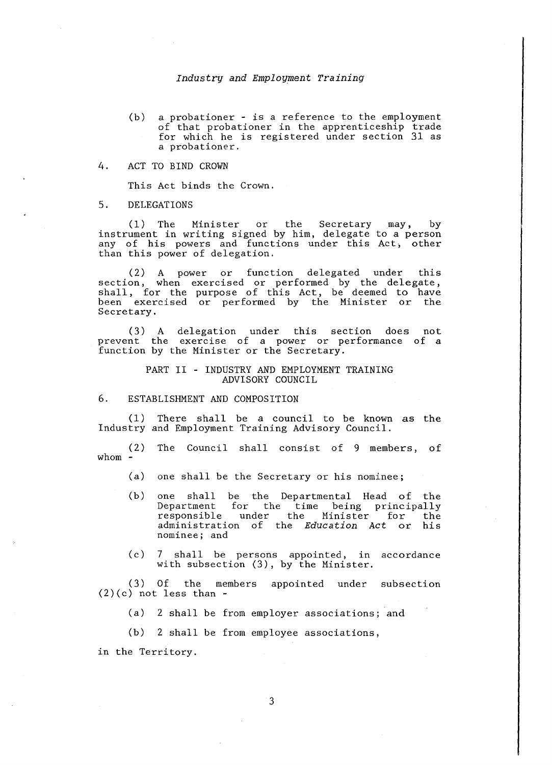(b) *a* probationer - is *a* reference to the employment of that probationer in the apprenticeship trade for which he is registered under section 31 as *a* probationer.

#### 4. ACT TO BIND CROWN

This Act binds the Crown.

5. DELEGATIONS

(1) The Minister or the Secretary may, by instrument in writing signed by him, delegate to a person any of his powers and functions under this Act, other than this power of delegation.

(2) A power or function delegated under this section, when exercised or performed by the delegate, shall, for the purpose of this Act, be deemed to have been exercised or performed by the Minister or the Secretary.

( 3) A delegation under this section does not prevent the exercise of a power or performance of a function by the Minister or the Secretary.

#### PART II - INDUSTRY AND EMPLOYMENT TRAINING ADVISORY COUNCIL

# 6. ESTABLISHMENT AND COMPOSITION

(1) There shall be a council to be known as the Industry and Employment Training Advisory Council.

(2) The Council shall consist of 9 members, of whom -

- (a) one shall be the Secretary or his nominee;
- (b) one shall be the Departmental Head of the Department for the time being principally responsible under the Minister for the administration of the *Education Act* or his nominee; and
- (c) 7 shall be persons appointed, in accordance with subsection (3), by the Minister.

(3) Of the members appointed under subsection  $(2)(c)$  not less than -

- (a) 2 shall be from employer associations; and
- (b) 2 shall be from employee associations,

in the Territory.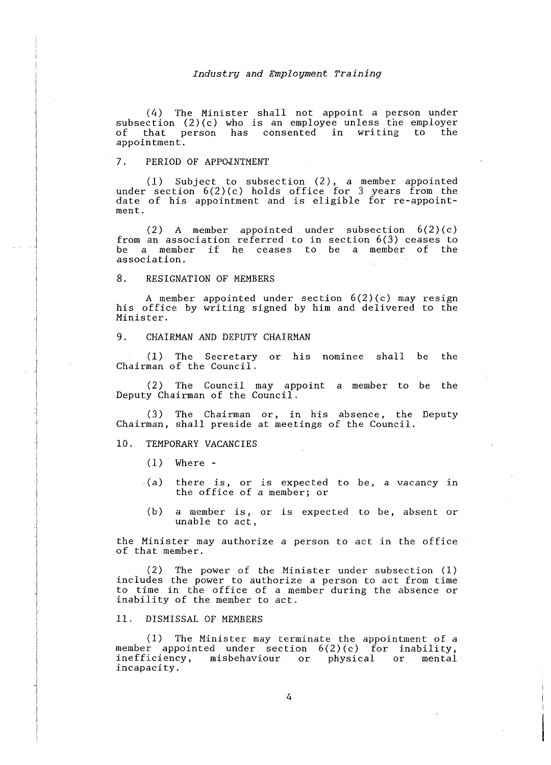(4) The Minister shall not appoint a person under subsection (2)(c) who is an employee unless the employer of that person has consented in writing to the appointment.

# 7. PERIOD OF APPOJNTMENT

(1) Subject to subsection (2), a member appointed under section 6(2)(c) holds office for 3 years from the date of his appointment and is eligible for re-appointment.

(2) A member appointed under subsection  $6(2)(c)$ from an association referred to in section 6(3) ceases to<br>be a member if he ceases to be a member of the be a member if he ceases to be a member of the association.

#### 8. RESIGNATION OF MEMBERS

A member appointed under section  $6(2)(c)$  may resign his office by writing signed by him and delivered to the Minister.

### 9. CHAIRMAN AND DEPUTY CHAIRMAN

(1) The Secretary or his nominee shall be the Chairman of the Council.

(2) The Council may appoint a member to be the Deputy Chairman of the Council.

(3) The Chairman or, in his absence, the Deputy Chairman, shall preside at meetings of the Council.

#### 10. TEMPORARY VACANCIES

- (1) Where -
- .(a) there is, or is expected to be, a vacancy in the office of a member; or
- (b) a member is, or is expected to be, absent or unable to act,

the Minister may authorize a person to act in the office of that member.

(2) The power of the Minister under subsection (1) includes the power to authorize a person to act from time to time in the office of a member during the absence or inability of the member to act.

# 11. DISMISSAL OF MEMBERS

(1) The Minister may terminate the appointment of a member appointed under section  $6(2)(c)$  for inability, inefficiency, misbehaviour or physical or mental incapacity.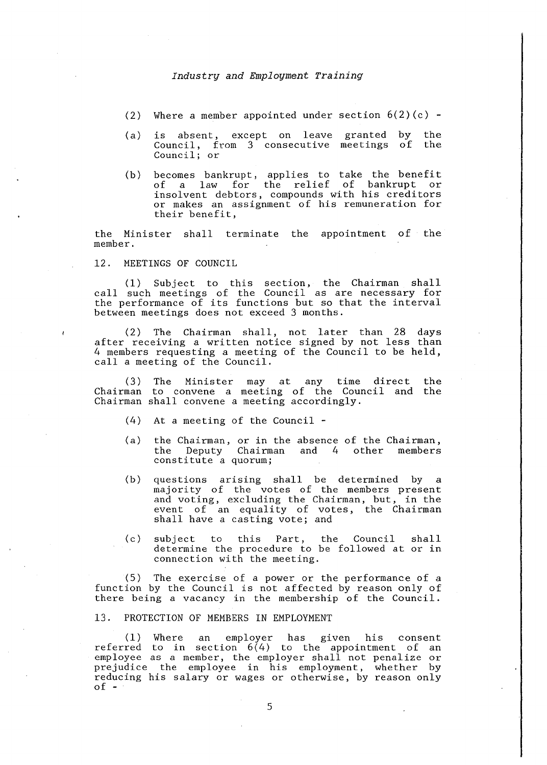- (2) Where a member appointed under section  $6(2)(c)$  -
- (a) is absent, except on leave Council, from 3 consecutive Council; or granted meetings by of the the
- (b) becomes bankrupt, applies to take the benefit of a law for the relief of bankrupt or insolvent debtors, compounds with his creditors or makes an assignment of his remuneration for their benefit,

the Minister shall terminate the appointment of the member.

12. MEETINGS OF COUNCIL

(1) Subject to this section, the Chairman shall call such meetings of the Council as are necessary for the performance of its functions but so that the interval between meetings does not exceed 3 months.

(2) The Chairman shall, not later than 28 days after receiving a written notice signed by not less than 4 members requesting a meeting of the Council to be held, call a meeting of the Council.

(3) The Minister may at any time direct the Chairman to convene a meeting of the Council and the Chairman shall convene a meeting accordingly.

- (4) At a meeting of the Council -
- (a) the Chairman, or in the absence of the Chairman, Deputy Chairman and 4 constitute a quorum;
- (b) questions arising shall be determined by a majority of the votes of the members present and voting, excluding the Chairman, but, in the event of an equality of votes, the Chairman shall have a casting vote; and
- (c) subject to this Part, the Council shall determine the procedure to be followed at or in connection with the meeting.

(5) The exercise of a power or the performance of a function by the Council is not affected by reason only of there being a vacancy in the membership of the Council.

#### 13. PROTECTION OF MEMBERS IN EMPLOYMENT

(1) Where an employer has given his consent referred to in section  $6(4)$  to the appointment of an employee as a member, the employer shall not penalize or prejudice the employee in his employment, whether by reducing his salary or wages or otherwise, by reason only of -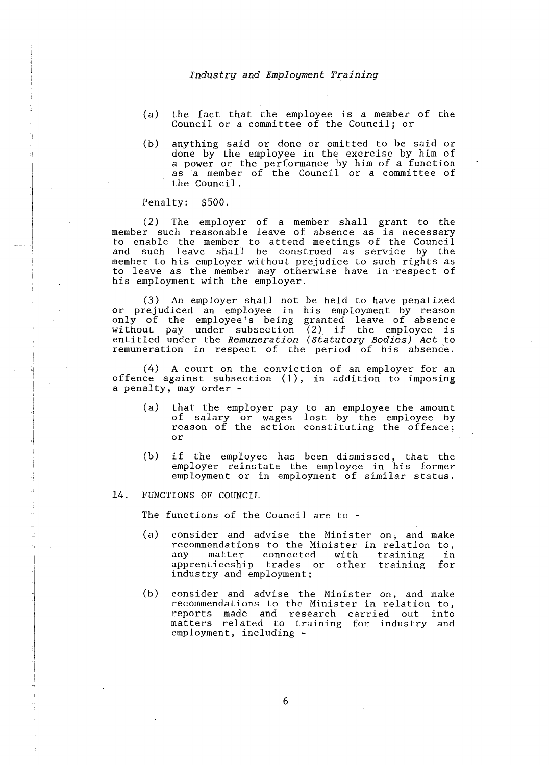- (a) the fact that the employee is a member of the Council or *a* committee of the Council; or
- (b) anything said or done or omitted to be said or a power or the performance by him of a function as *a* member of the Council or *a* committee of the Council.

Penalty: \$500.

(2) The employer of *a* member shall grant to the member such reasonable leave of absence as is necessary to enable the member to attend meetings of the Council and such leave shall be construed as service by the member to his employer without prejudice to such rights as to leave as the member may otherwise have in respect of his employment with the employer.

(3) An employer shall not be held to have penalized or prejudiced an employee in his employment by reason only of the employee's being granted leave of absence without pay under subsection (2) if the employee is entitled under the *Remuneration (Statutory Bodies) Act* to remuneration in respect of the period of his absence.

(4) A court on the conviction of an employer for an offence against subsection (1), in addition to imposing a penalty, may order -

- (a) that the employer pay to an employee the amount of salary or wages lost by the employee by reason of the action constituting the offence; or
- (b) if the employee has been dismissed, that the employer reinstate the employee in his former employment or in employment of similar status.
- 14. FUNCTIONS OF COUNCIL

The functions of the Council are to -

- (a) consider and advise the Minister on; and make recommendations to the Minister in relation to, any matter connected with training in any masser connected with cruining in industry and employment;
- (b) consider and advise the Minister on, and make recommendations to the Minister in relation to, reports made and research carried out into matters related to training for industry and employment, including -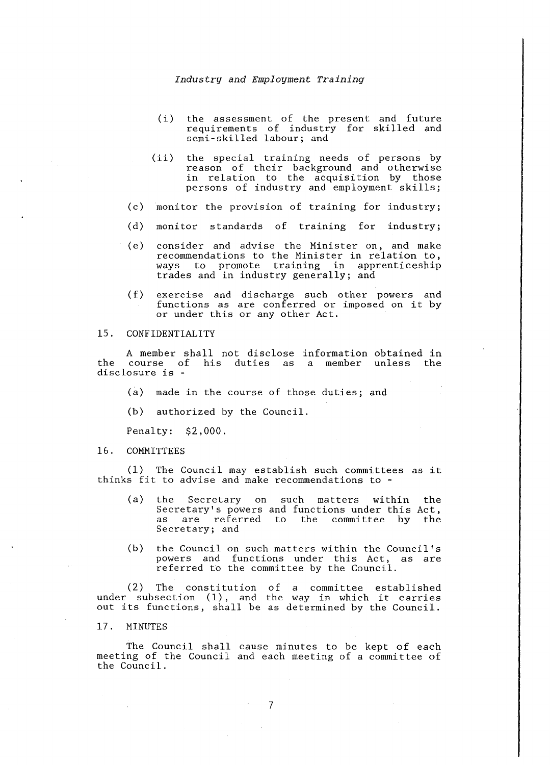- (i) the assessment of the present and future requirements of industry for skilled and semi-skilled labour; and
- (ii) the special training needs of persons by reason of their background and otherwise in relation to the acquisition by those persons of industry and employment skills;
- (c) monitor the provision of training for industry;
- (d) monitor standards of training for industry;
- (e) consider and advise the Minister on, and make recommendations to the Minister in relation to, to promote training in apprenticeship trades and in industry generally; and
- ( f) exercise and discharge such other powers and functions as are conferred or imposed on it by or under this or any other Act.

15. CONFIDENTIALITY

A member shall not disclose information obtained in the course of his duties as disclosure is -

(a) made in the course of those duties; and

(b) authorized by the Council.

Penalty: \$2,000.

16. COMMITTEES

(1) The Council may establish such committees as it thinks fit to advise and make recommendations to -

- (a) the Secretary on such matters within the Secretary's powers and functions under this Act, as are referred to the committee by the Secretary; and
- (b) the Council on such matters within the Council's powers and functions under this Act, as are referred to the committee by the Council.

(2) The constitution of a committee established under subsection (1), and the way in which it carries and the way in which it called subsection (1), and the way in which it called

#### 17. MINUTES

The Council shall cause minutes to be kept of each meeting of the Council and each meeting of a committee of the Council.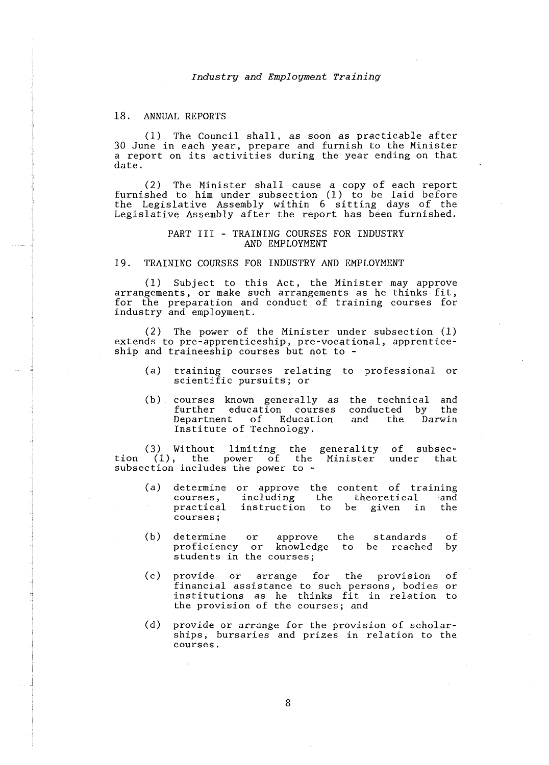#### 18. ANNUAL REPORTS

(1) The Council shall, as soon as practicable after a report on its activities during the year ending on that date.

(2) The Minister shall cause a copy of each report furnished to him under subsection (1) to be laid before the Legislative Assembly within 6 sitting days of the Legislative Assembly after the report has been furnished.

#### PART III - TRAINING COURSES FOR INDUSTRY AND EMPLOYMENT

### 19. TRAINING COURSES FOR INDUSTRY AND EMPLOYMENT

(1) Subject to this Act, the Minister may approve arrangements, or make such arrangements as he thinks fit, for the preparation and conduct of training courses for industry and employment.

(2) The power of the Minister under subsection (1) extends to pre-apprenticeship, pre-vocational, apprenticeship and traineeship courses but not to -

- (a) training courses relating to professional or scientific pursuits; or
- (b) courses known generally as the technical and further education courses Department of Education Institute of Technology. conducted by the Darwin

(3) Without limiting the tion (1), the power of the subsection includes the power to generality Minister of subsecunder that

- (a) determine or approve the content of training courses, practical courses; including the instruction to theoretical and<br>be given in the given in
- (b) determine determine or approve the proficiency or knowledge to students in the courses; standards be reached of by
- ( c) provide or arrange for the provision of financial assistance to such persons, bodies or institutions as he thinks fit in relation to the provision of the courses; and
- (d) provide or arrange for the provision of scholarships, bursaries and prizes in relation to the courses.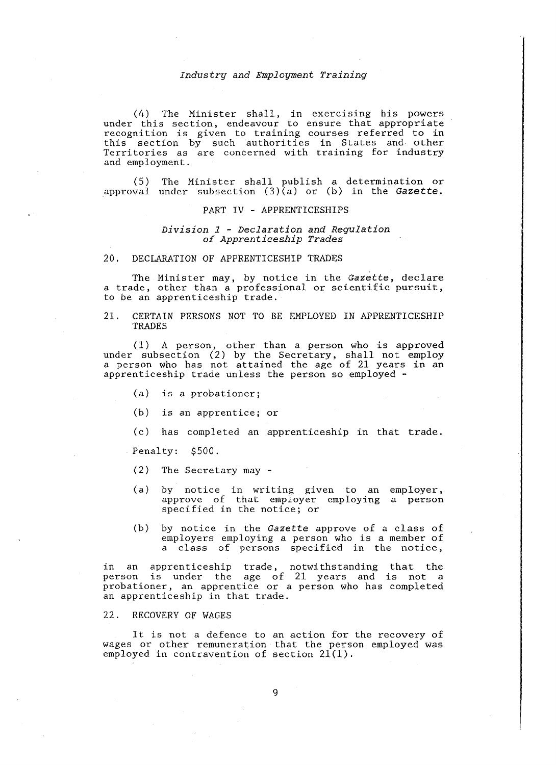(4) The Minister shall, in exercising his powers under this section, endeavour to ensure that appropriate recognition is given to training courses referred to in this section by such authorities in States and other Territories as are concerned with training for industry and employment.

(5) The Minister shall publish a determination or approval under subsection (3)(a) or (b) in the *Gazette.* 

#### PART IV - APPRENTICESHIPS

### *Division 1* - *Declaration and Regulation of Apprenticeship Trades*

20. DECLARATION OF APPRENTICESHIP TRADES

The Minister may, by notice in the Gazette, declare a trade, other than a professional or scientific pursuit, to be an apprenticeship trade.

#### 21. CERTAIN PERSONS NOT TO BE EMPLOYED IN APPRENTICESHIP **TRADES**

( 1) A person, other than a person who is approved under subsection (2) by the Secretary, shall not employ a person who has not attained the age of 21 years in an apprenticeship trade unless the person so employed -

- (a) is a probationer;
- (b) is an apprentice; or
- (c) has completed an apprenticeship in that trade.

Penalty: \$500.

- (2) The Secretary may -
- (a) by notice in writing given to an employer, approve of that employer employing a person specified in the notice; or
- (b) by notice in the *Gazette* approve of a class of employers employing a person who is a member of a class of persons specified in the notice,

in an apprenticeship trade, notwithstanding that the In an approncipcisity ridde, notwrindending ende the<br>person is under the age of 21 years and is not a probationer, an apprentice or a person who has completed an apprenticeship in that trade.

#### 22. RECOVERY OF WAGES

It is not a defence to an action for the recovery of wages or other remuneration that the person employed was employed in contravention of section  $21(1)$ .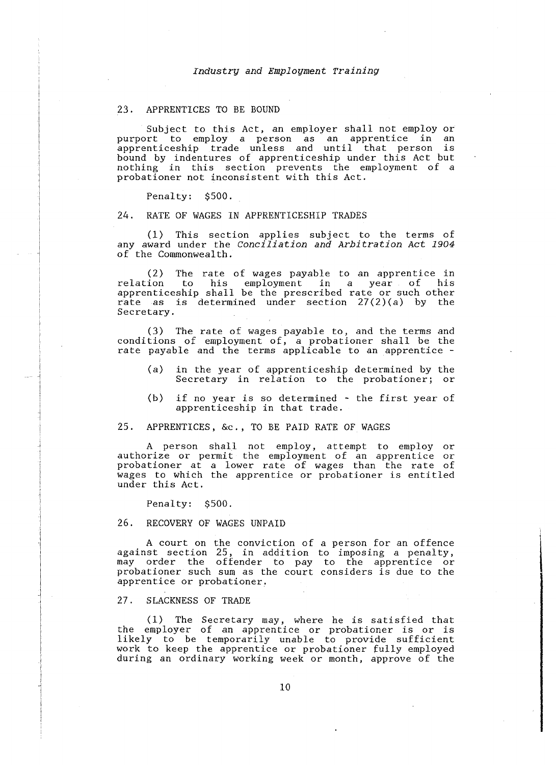#### 23. APPRENTICES TO BE BOUND

Subject to this Act, an employer shall not employ or purport to employ *a* person as an apprentice in an apprenticeship trade unless and until that person is bound by indentures of apprenticeship under this Act but nothing in this section prevents the employment of *a*  probationer not inconsistent with this Act.

Penalty: \$500.

### 24. RATE OF WAGES IN APPRENTICESHIP TRADES

(1) This section applies subject to the terms of any award under the *Conciliation and Arbitration Act 1904*  of the Commonwealth.

(2) The rate of wages payable to an apprentice in relation to his employment in *a* year of his apprenticeship shall be the prescribed rate or such other rate as is determined under section 27(2)(a) by the Secretary.

(3) The rate of wages payable to, and the terms and conditions of employment of, *a* probationer shall be the rate payable and the terms applicable to an apprentice -

- (a) in the year of apprenticeship determined by the Secretary in relation to the probationer; or
- (b) if no year is so determined the first year of apprenticeship in that trade.

25. APPRENTICES, &c., TO BE PAID RATE OF WAGES

A person shall not employ, attempt to employ or authorize or permit the employment of an apprentice or probationer at *a* lower rate of wages than the rate of wages to which the apprentice or probationer is entitled under this Act.

Penalty: \$500.

#### 26. RECOVERY OF WAGES UNPAID

A court on the conviction of *a* person for an offence against section 25, in addition to imposing *a* penalty, may order the offender to pay to the apprentice or probationer such sum as the court considers is due to the apprentice or probationer.

#### 27. SLACKNESS OF TRADE

(1) The Secretary may, where he is satisfied that the employer of an apprentice or probationer is or is likely to be temporarily unable to provide sufficient work to keep the apprentice or probationer fully employed during an ordinary working week or month, approve of the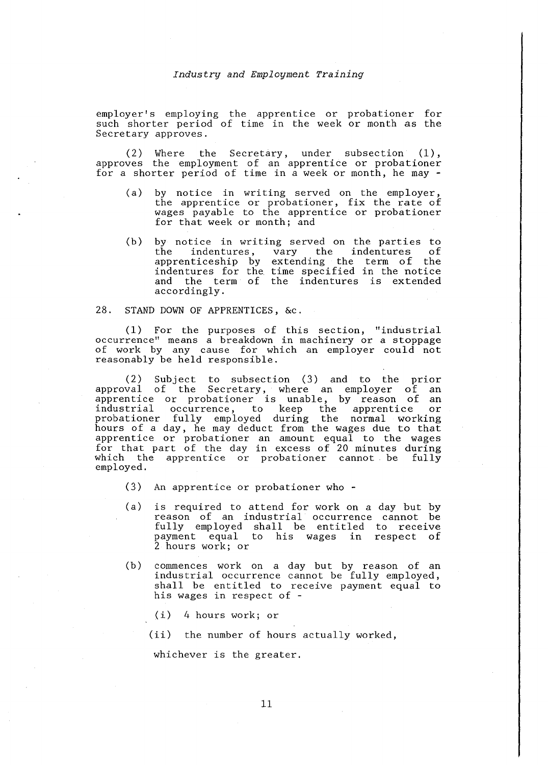employer's employing the apprentice or probationer for such shorter period of time in the week or month as the Secretary approves.

(2) Where the Secretary, under subsection (1), approves the employment of an apprentice or probationer for a shorter period of time in a week or month, he may -

- (a) by notice in writing served on the employer, the apprentice or probationer, fix the rate of wages payable to the apprentice or probationer for that week or month; and
- (b) by notice in writing served on the parties to the indentures, vary the indentures of apprenticeship by extending the term of the indentures for the time specified in the notice and the term of the indentures is extended accordingly.

### 28. STAND DOWN OF APPRENTICES, &c.

(1) For the purposes of this section, "industrial occurrence" means a breakdown in machinery or a stoppage of work by any cause for which an employer could not reasonably be held responsible.

(2) Subject to subsection (3) and to the prior approval of the Secretary, where an employer of an apprentice or probationer is unable, by reason of an industrial occurrence, to keep the apprentice or probationer fully employed during the normal working hours of a day, he may deduct from the wages due to that apprentice or probationer an amount equal to the wages for that part of the day in excess of 20 minutes during which the apprentice or probationer cannot be fully employed.

- (3) An apprentice or probationer who -
- (a) is required to attend for work on a day but by reason of an industrial occurrence cannot be fully employed shall be entitled to receive payment equal to his wages in respect of 2 hours work; or
- (b) commences work on a day but by reason of an industrial occurrence cannot be fully employed, shall be entitled to receive payment equal to his wages in respect of

(i) 4 hours work; or

(ii) the number of hours actually worked,

whichever is the greater.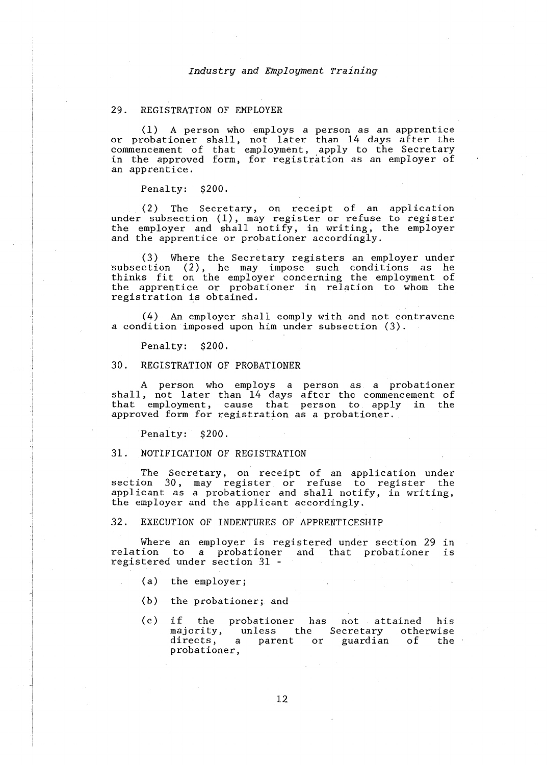# 29. REGISTRATION OF EMPLOYER

(1) A person who employs *a* person as an apprentice or probationer shall, not later than 14 days after the commencement of that employment, apply to the Secretary in the approved form, for registration as an employer of an apprentice.

Penalty: \$200.

(2) The Secretary, on receipt of an application under subsection (1), may register or refuse to register the employer and shall notify, in writing, the employer and the apprentice or probationer accordingly.

(3) Where the Secretary registers an employer under subsection (2), he may impose such conditions as he thinks fit on the employer concerning the employment of the apprentice or probationer in relation to whom the registration is obtained.

(4) An employer shall comply with and not contravene *a* condition imposed upon him under subsection (3).

Penalty: \$200.

#### 30. REGISTRATION OF PROBATIONER

A person who employs a person as *a* probationer shall, not later than 14 days after the commencement of that employment, cause that person to apply in the approved form for registration as a probationer.

Penalty: \$200.

#### 31. NOTIFICATION OF REGISTRATION

The Secretary, on receipt of an application under section 30, may register or refuse to register the applicant as *a* probationer and shall notify, in writing, the employer and the applicant accordingly.

#### 32. EXECUTION OF INDENTURES OF APPRENTICESHIP

Where an employer is registered under section 29 in relation to *a* probationer and that probationer is registered under section 31 -

- (a) the employer;
- (b) the probationer; and
- (c) if the probationer has majority, unless the directs, *a* probationer, parent or guardian of the not attained his Secretary otherwise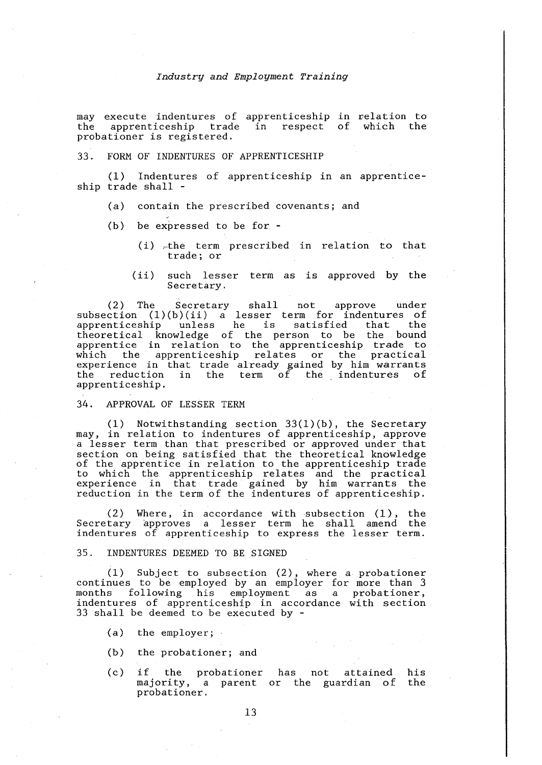may execute indentures of apprenticeship in relation to the apprenticeship trade in respect of probationer is registered. which the

# 33. FORM OF INDENTURES OF APPRENTICESHIP

( 1) Indentures of apprenticeship in an apprenticeship trade shall -

- (a) contain the prescribed covenants; and
- (b) be expressed to be for
	- $(i)$  the term prescribed in relation to that trade; or
	- (ii) such lesser term as is approved by the Secretary.

(2) The Secretary shall not approve under subsection  $(l)(b)(ii)$  a lesser term for indentures of apprenticeship unless he is satisfied that the theoretical knowledge of the person to be the bound apprentice in relation to the apprenticeship trade to<br>which the apprenticeship relates or the practical the apprenticeship relates or the practical experience in that trade already gained by him warrants<br>the reduction in the term of the indentures of reduction in the term of the indentures apprenticeship.

# 34. APPROVAL OF LESSER TERM

(1) Notwithstanding section 33(1)(b), the Secretary may, in relation to indentures of apprenticeship, approve a lesser term than that prescribed or approved under that section on being satisfied that the theoretical knowledge of the apprentice in relation to the apprenticeship trade to which the apprenticeship relates and the practical experience in that trade gained by him warrants the reduction in the term of the indentures of apprenticeship.

 $(2)$  Where, in accordance with subsection  $(1)$ , the Secretary approves a lesser term he shall amend the indentures of apprenticeship to express the lesser term.

#### 35. INDENTURES DEEMED TO BE SIGNED

(1) Subject to subsection (2), where a probationer continues to be employed by an employer for more than 3 months following his employment as a probationer, indentures of apprenticeship in accordance with section 33 shall be deemed to be executed by -

- (a) the employer;
- (b) the probationer; and
- (c) if the probationer majority, a parent probationer. has or the not attained guardian of his the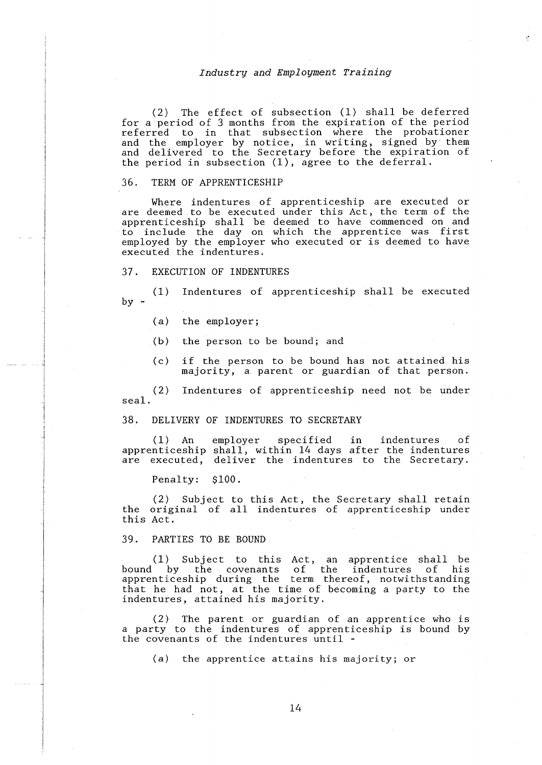(2) The effect of subsection (1) shall be deferred for a period of 3 months from the expiration of the period referred to in that subsection where the probationer and the employer by notice, in writing, signed by them and delivered to the Secretary before the expiration of the period in subsection (1), agree to the deferral.

#### 36. TERM OF APPRENTICESHIP

Where indentures of apprenticeship are executed or are deemed to be executed under this Act, the term of the apprenticeship shall be deemed to have commenced on and to include the day on which the apprentice was first employed by the employer who executed or is deemed to have executed the indentures.

#### 37. EXECUTION OF INDENTURES

 $bv -$ (1) Indentures of apprenticeship shall be executed

- (a) the employer;
- (b) the person to be bound; and
- (c) if the person to be bound has not attained his majority, a parent or guardian of that person.

(2) Indentures of apprenticeship need not be under seal.

# 38. DELIVERY OF INDENTURES TO SECRETARY

(1) An employer specified in indentures of apprenticeship shall, within 14 days after the indentures are executed, deliver the indentures to the Secretary.

Penalty: \$100.

(2) Subject to this Act, the Secretary shall retain the original of all indentures of apprenticeship under this Act.

#### 39. PARTIES TO BE BOUND

(1) Subject to this Act, an apprentice shall be bound by the covenants of the indentures of his apprenticeship during the term thereof, notwithstanding that he had not, at the time of becoming a party to the indentures, attained his majority.

(2) The parent or guardian of an apprentice who is a party to the indentures of apprenticeship is bound by the covenants of the indentures until -

(a) the apprentice attains his majority; or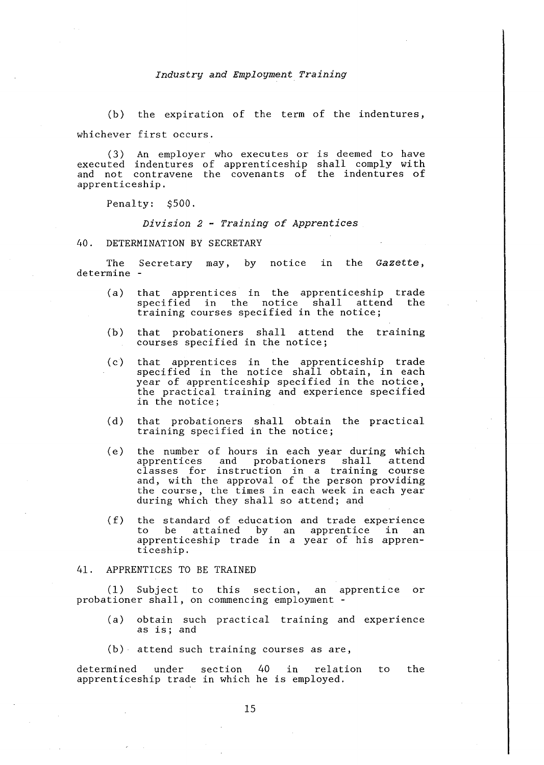(b) the expiration of the term of the indentures, whichever first occurs.

( 3) An employer who executes or is deemed to have executed indentures of apprenticeship shall comply with and not contravene the covenants of the indentures of apprenticeship.

Penalty: \$500.

*Division 2* - *Training of Apprentices* 

#### 40. DETERMINATION BY SECRETARY

The Secretary may, by notice in the *Gazette,*  determine -

- (a) that apprentices in the apprenticeship trade specified in the notice shall attend the training courses specified in the notice;
- (b) that probationers shall attend the training courses specified in the notice;
- (c) that apprentices in the apprenticeship trade specified in the notice shall obtain, in each year of apprenticeship specified in the notice, the practical training and experience specified in the notice;
- (d) that probationers shall obtain the practical training specified in the notice;
- (e) the number of hours in each year during which<br>apprentices and probationers shall attend apprentices and classes for instruction in a training course and, with the approval of the person providing the course, the times in each week in each year during which they shall so attend; and
- ( f) the standard of education and trade experience to be attained by an apprentice in an apprenticeship trade in a year of his appren ticeship.

#### 41. APPRENTICES TO BE TRAINED

(1) Subject to this section, an apprentice or probationer shall, on commencing employment

- (a) obtain such practical training and experience as is; and
- (b) attend such training courses as are,

determined under section 40 in relation apprenticeship trade in which he is employed. to the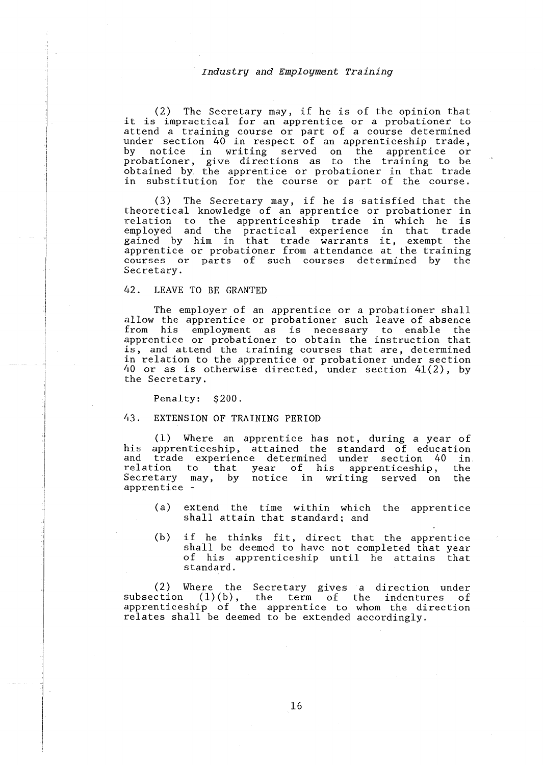(2) The Secretary may, if he is of the opinion that it is impractical for an apprentice or a probationer to attend a training course or part of a course determined under section 40 in respect of an apprenticeship trade, by notice in writing served on the apprentice or probationer, give directions as to the training to be obtained by the apprentice or probationer in that trade in substitution for the course or part of the course.

(3) The Secretary may, if he is satisfied that the theoretical knowledge of an apprentice or probationer in relation to the apprenticeship trade in which he is employed and the practical experience in that trade gained by him in that trade warrants it, exempt the apprentice or probationer from attendance at the training courses or parts of such courses determined by the Secretary.

#### 42. LEAVE TO BE GRANTED

The employer of an apprentice or a probationer shall allow the apprentice or probationer such leave of absence from his employment as is necessary to enable the apprentice or probationer to obtain the instruction that is, and attend the training courses that are, determined in relation to the apprentice or probationer under section 40 or as is otherwise directed, under section 41(2), by the Secretary.

Penalty: \$200.

43. EXTENSION OF TRAINING PERIOD

(1) Where an apprentice has not, during a year of his apprenticeship, attained the standard of education and trade experience determined under section 40 in relation to that year of his apprenticeship, the Secretary may, by notice in writing served on the apprentice -

- (a) extend the time within which the apprentice shall attain that standard; and
- (b) if he thinks fit, direct that the apprentice shall be deemed to have not completed that year of his apprenticeship until he attains that standard.

(2) Where the Secretary gives a direction under subsection  $(1)(b)$ , the term of the indentures of apprenticeship of the apprentice to whom the direction relates shall be deemed to be extended accordingly.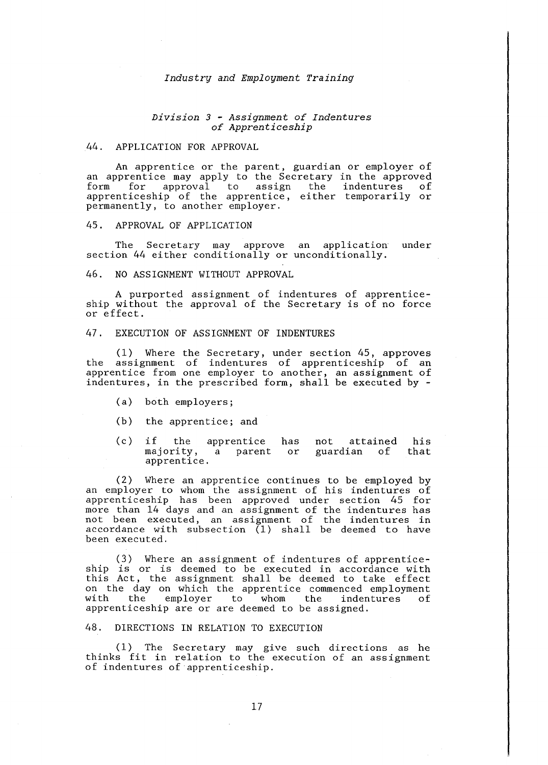### *Division 3* - *Assignment of Indentures of Apprenticeship*

# 44. APPLICATION FOR APPROVAL

An apprentice or the parent, guardian or employer of an apprentice may apply to the Secretary in the approved form for approval to assign the indentures of apprenticeship of the apprentice, either temporarily or permanently, to another employer.

#### 45. APPROVAL OF APPLICATION

The Secretary may approve an application under section 44 either conditionally or unconditionally.

#### 46. NO ASSIGNMENT WITHOUT APPROVAL

A purported assignment of indentures of apprenticeship without the approval of the Secretary is of no force or effect.

# 47. EXECUTION OF ASSIGNMENT OF INDENTURES

(1) Where the Secretary, under section 45, approves the assignment of indentures of apprenticeship of an apprentice from one employer to another, an assignment of indentures, in the prescribed form, shall be executed by -

- (a) both employers;
- (b) the apprentice; and
- (c) if the apprentice majority, a parent or apprentice. has not attained guardian of his that

(2) Where an apprentice continues to be employed by an employer to whom the assignment of his indentures of apprenticeship has been approved under section 45 for more than 14 days and an assignment of the indentures has not been executed, an assignment of the indentures in accordance with subsection  $(1)$  shall be deemed to have been executed.

(3) Where an assignment of indentures of apprenticeship is or is deemed to be executed in accordance with this Act, the assignment shall be deemed to take effect on the day on which the apprentice commenced employment<br>with the employer to whom the indentures of employer to whom the apprenticeship are or are deemed to be assigned.

#### 48. DIRECTIONS IN RELATION TO EXECUTION

(1) The Secretary may give such directions as he thinks fit in relation to the execution of an assignment of indentures of apprenticeship.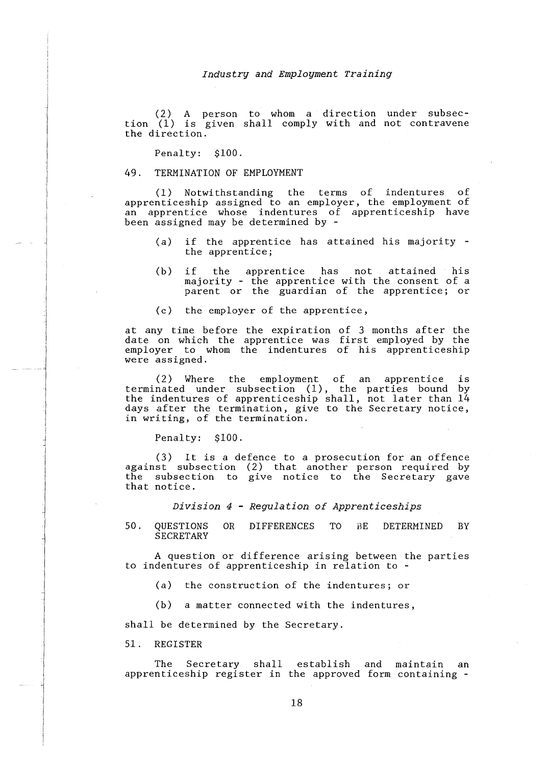(2) A person to whom a direction under subsection (1) is given shall comply with and not contravene the direction.

Penalty: \$100.

#### 49. TERMINATION OF EMPLOYMENT

(1) Notwithstanding the terms of indentures of apprenticeship assigned to an employer, the employment of an apprentice whose indentures of apprenticeship have been assigned may be determined by -

- (a) if the apprentice has attained his majority the apprentice;
- (b) if the apprentice has not attained his majority - the apprentice with the consent of a parent or the guardian of the apprentice; or
- (c) the employer of the apprentice,

at any time before the expiration of 3 months after the date on which the apprentice was first employed by the employer to whom the indentures of his apprenticeship were assigned.

(2) Where the employment of an apprentice is terminated under subsection (1), the parties bound by the indentures of apprenticeship shall, not later than 14 days after the termination, give to the Secretary notice, in writing, of the termination.

Penalty: \$100.

(3) It is a defence to a prosecution for an offence against subsection (2) that another person required by the subsection to give notice to the Secretary gave that notice.

*Division 4* - *Regulation of Apprenticeships* 

50. QUESTIONS OR DIFFERENCES TO BE DETERMINED BY **SECRETARY** 

A question or difference arising between the parties to indentures of apprenticeship in relation to -

(a) the construction of the indentures; or

(b) a matter connected with the indentures,

shall be determined by the Secretary.

51. REGISTER

The Secretary shall establish and maintain an apprenticeship register in the approved form containing -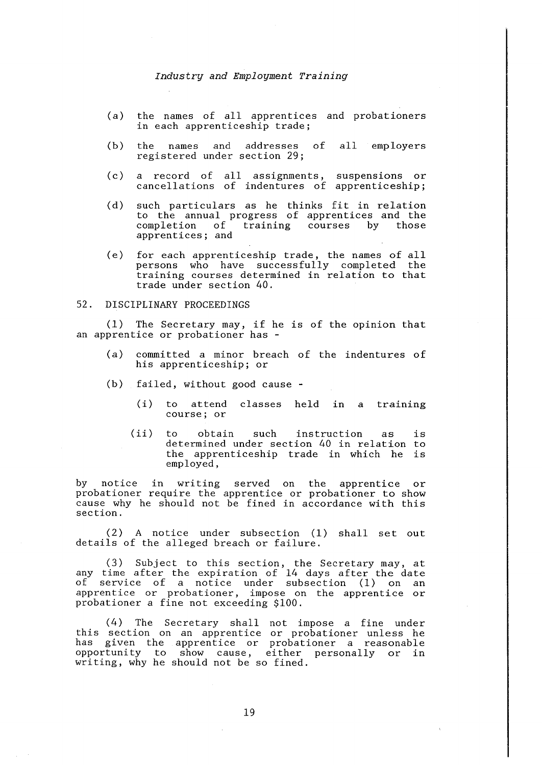- (a) the names of all apprentices and probationers in each apprenticeship trade;
- (b) the names and addresses of all employers registered under section 29;
- (c) *a* record of all assignments, suspensions or cancellations of indentures of apprenticeship;
- (d) such particulars as he thinks fit in relation to the annual progress of apprentices and the completion of training courses by those apprentices; and
- (e) for each apprenticeship trade, the names of all persons who have successfully completed the training courses determined in relation to that trade under section 40.

#### 52. DISCIPLINARY PROCEEDINGS

(1) The Secretary may, if he is of the opinion that an apprentice or probationer has -

- (a) committed a minor breach of the indentures of his apprenticeship; or
- (b) failed, without good cause
	- (i) to attend classes held in *a* training course; or
	- (ii) to obtain such instruction as is determined under section 40 in relation to the apprenticeship trade in which he is employed,

by notice in writing served on the apprentice or probationer require the apprentice or probationer to show cause why he should not be fined in accordance with this section.

(2) A notice under subsection (1) shall set out details of the alleged breach or failure.

(3) Subject to this section, the Secretary may, at any time after the expiration of 14 days after the date of service of *a* notice under subsection (1) on an apprentice or probationer, impose on the apprentice or probationer *a* fine not exceeding \$100.

(4) The Secretary shall not impose *a* fine under this section on an apprentice or probationer unless he has given the apprentice or probationer a reasonable opportunity to show cause, either personally or in writing, why he should not be so fined.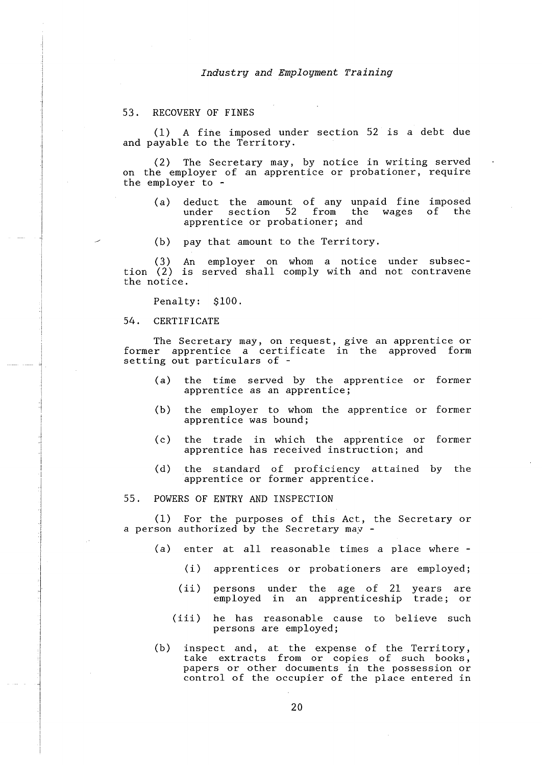53. RECOVERY OF FINES

(1) A fine imposed under section 52 is a debt due and payable to the Territory.

(2) The Secretary may, by notice in writing served on the employer of an apprentice or probationer, require the employer to -

- (a) deduct the amount of any unpaid fine imposed under section 52 from the wages of the apprentice or probationer; and
- (b) pay that amount to the Territory.

(3) An employer on whom a notice under subsection (2) is served shall comply with and not contravene the notice.

Penalty: \$100.

54. CERTIFICATE

The Secretary may, on request, give an apprentice or former apprentice a certificate in the approved form setting out particulars of -

- (a) the time served by the apprentice or former apprentice as an apprentice;
- (b) the employer to whom the apprentice or former apprentice was bound;
- (c) the trade in which the apprentice or former apprentice has received instruction; and
- (d) the standard of proficiency attained by the apprentice or former apprentice.

55. POWERS OF ENTRY AND INSPECTION

(1) For the purposes of this Act, the Secretary or a person authorized by the Secretary may -

- (a) enter at all reasonable times a place where
	- (i) apprentices or probationers are employed;
	- (ii) persons under the age of 21 years are employed in an apprenticeship trade; or
	- (iii) he has reasonable cause to believe such persons are employed;
- (b) inspect and, at the expense of the Territory, take extracts from or copies of such books, papers or other documents in the possession or control of the occupier of the place entered in

20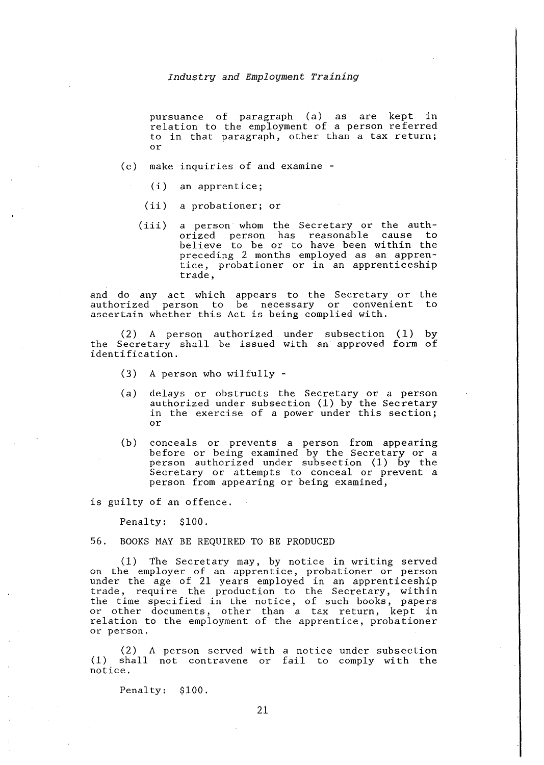pursuance of paragraph (a) as are kept in relation to the employment of a person referred to in that paragraph, other than a tax return; or

- (c) make inquiries of and examine
	- (i) an apprentice;
	- (ii) a probationer; or
	- (iii) a person whom the Secretary or the authorized person has reasonable cause to believe to be or to have been within the preceding 2 months employed as an apprentice, probationer or in an apprenticeship trade,

and do any act which appears to the Secretary or the authorized person to be necessary or convenient ascertain whether this Act is being complied with.

(2) A person authorized under subsection (1) by the Secretary shall be issued with an approved form of identification.

- (3) A person who wilfully -
- ( a) delays or obstructs the Secretary or a person authorized under subsection (1) by the Secretary in the exercise of a power under this section; or
- (b) conceals or prevents a person from appearing before or being examined by the Secretary or a person authorized under subsection (1) by the Secretary or attempts to conceal or prevent a person from appearing or being examined,

is guilty of an offence.

Penalty: \$100.

#### 56. BOOKS MAY BE REQUIRED TO BE PRODUCED

(1) The Secretary may, by notice in writing served on the employer of an apprentice, probationer or person under the age of 21 years employed in an apprenticeship trade, require the production to the Secretary, within the time specified in the notice, of such books, papers or other documents, other than a tax return, kept **in**  relation to the employment of the apprentice, probationer or person.

(2) A person served with a notice under subsection (1) shall not contravene or fail to comply with the notice.

Penalty: \$100.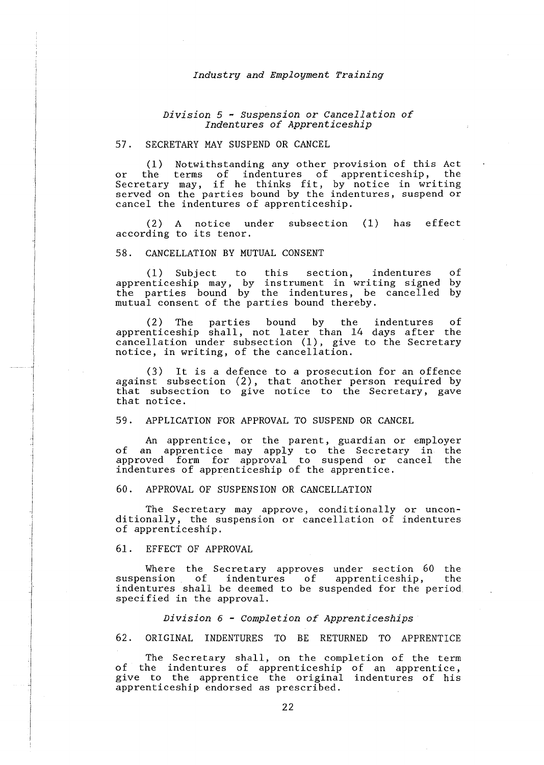#### *Division 5* - *Suspension or Cancellation of Indentures of Apprenticeship*

#### 57. SECRETARY MAY SUSPEND OR CANCEL

(1) Notwithstanding any other provision of this Act or the terms of indentures of apprenticeship, the Secretary may, if he thinks fit, by notice in writing served on the parties bound by the indentures, suspend or cancel the indentures of apprenticeship.

(2) A notice under subsection (1) has effect according to its tenor.

58. CANCELLATION BY MUTUAL CONSENT

(1) Subject to this section, indentures of apprenticeship may, by instrument in writing signed by the parties bound by the indentures, be cancelled by mutual consent of the parties bound thereby.

(2) The parties bound by the indentures of apprenticeship shall, not later than 14 days after the cancellation under subsection (1), give to the Secretary notice, in writing, of the cancellation.

(3) It is a defence to *a* prosecution for an offence against subsection (2), that another person required by that subsection to give notice to the Secretary, gave that notice.

59. APPLICATION FOR APPROVAL TO SUSPEND OR CANCEL

An apprentice, or the parent, guardian or employer of an apprentice may apply to the Secretary in the approved form for approval to suspend or cancel the indentures of apprenticeship of the apprentice.

60. APPROVAL OF SUSPENSION OR CANCELLATION

The Secretary may approve, conditionally or unconditionally, the suspension or cancellation of indentures of apprenticeship.

61. EFFECT OF APPROVAL

Where the suspension of indentures shall be deemed to be suspended for the period specified in the approval. Secretary approves under section 60 the indentures of apprenticeship, the

# *Division 6* - *Completion of Apprenticeships*

62. ORIGINAL INDENTURES TO BE RETURNED TO APPRENTICE

The Secretary shall, on the completion of the term of the indentures of apprenticeship of an apprentice, give to the apprentice the original indentures of his apprenticeship endorsed as prescribed.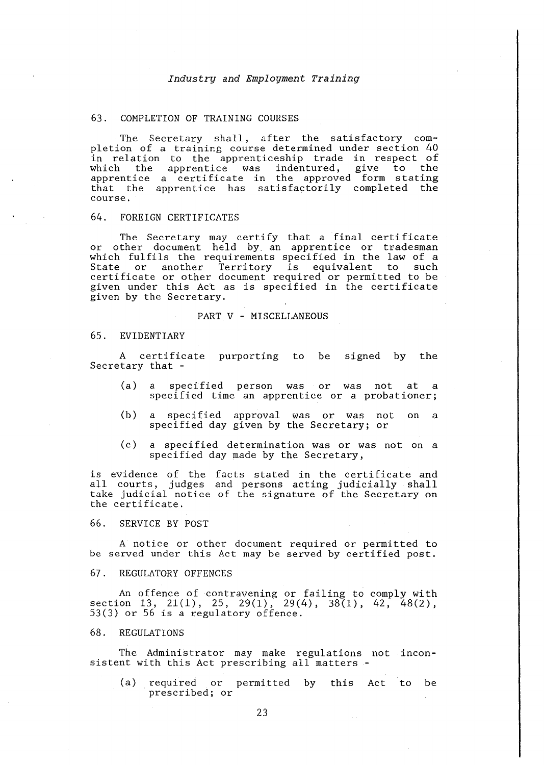# 63. COMPLETION OF TRAINING COURSES

The Secretary shall, after the satisfactory completion of a training course determined under section 40 in relation to the apprenticeship trade in respect of which the apprentice was indentured, give to the apprentice a certificate in the approved form stating that the apprentice has satisfactorily completed the course.

#### 64. FOREIGN CERTIFICATES

The Secretary may certify that a final certificate or other document held by\_ an apprentice or tradesman which fulfils the requirements specified in the law of a<br>State or another Territory is equivalent to such another Territory is equivalent to such certificate or other document required or permitted to be given under this Act as is specified in the certificate given by the Secretary.

#### PART V - MISCELLANEOUS

### 65. EVIDENTIARY

A certificate purporting to be signed by the Secretary that -

- (a) a specified person was or was not at a specified time an apprentice or a probationer;
- (b) a specified approval was or was not on a specified day given by the Secretary; or
- (c) a specified determination was or was not on a specified day made by the Secretary,

is evidence of the all courts, judges take judicial notice the certificate. facts stated in the certificate and and persons acting judicially shall of the signature of the Secretary on

# 66. SERVICE BY POST

A notice or other document required or permitted to be served under this Act may be served by certified post.

#### 67. REGULATORY OFFENCES

An offence of contravening or failing to comply with section 13, 21(1), 25, 29(1), 29(4), 38(1), 42, 48(2), 53(3) or 56 is a regulatory offence.

#### 68. REGULATIONS

The Administrator may make regulations not inconsistent with this Act prescribing all matters -

(a) required or permitted by this Act to be prescribed; or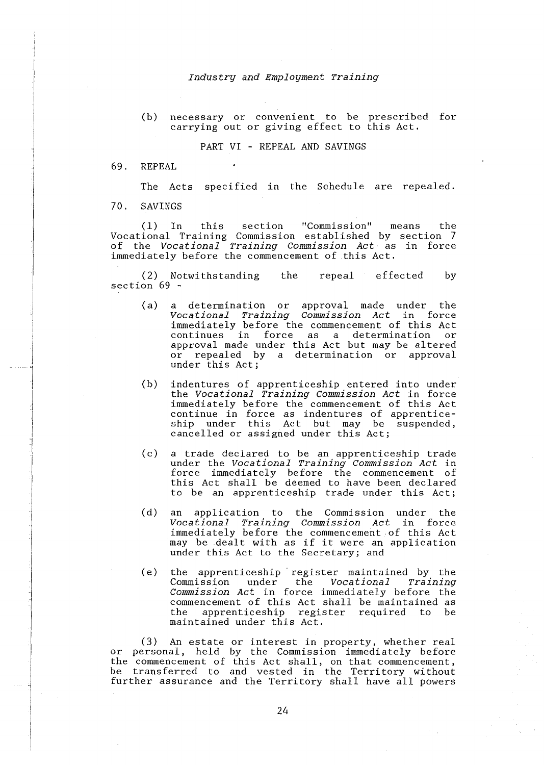(b) necessary or convenient to be prescribed for carrying out or giving effect to this Act.

#### PART VI - REPEAL AND SAVINGS

69. REPEAL

The Acts specified in the Schedule are repealed.

70. SAVINGS

(1) In this section "Commission" means the Vocational Training Commission established by section 7 of the *Vocational Training Commission Act* as in force immediately before the commencement of this Act.

(2) Notwithstanding the repeal effected by<br>section 69 -

- (a) a determination or approval made under the *Vocational Training Commission Act* in force immediately before the commencement of this Act continues in force as a determination or approval made under this Act but may be altered or repealed by a determination or approval under this Act;
- (b) indentures of apprenticeship entered into under the *Vocational Training Commission Act* in force immediately before the commencement of this Act continue in force as indentures of apprenticeship under this Act but may be suspended, cancelled or assigned under this Act;
- ( c) a trade declared to be an apprenticeship trade under the *Vocational Training Commission Act* in force immediately before the commencement of this Act shall be deemed to have been declared to be an apprenticeship trade under this Act;
- (d) an application to the Commission under the *Vocational Training Commission Act* in force immediately before the commencement of this Act may be dealt with as if it were an application under this Act to the Secretary; and
- (e) the apprenticeship register maintained by the<br>Commission under the Vocational Training Commission under *Commission Act* in force immediately before the commencement of this Act shall be maintained as the apprenticeship register required to be maintained under this Act.

(3) An estate or interest in property, whether real or personal, held by the Commission immediately before the commencement of this Act shall, on that commencement, be transferred to and vested in the Territory without further assurance and the Territory shall have all powers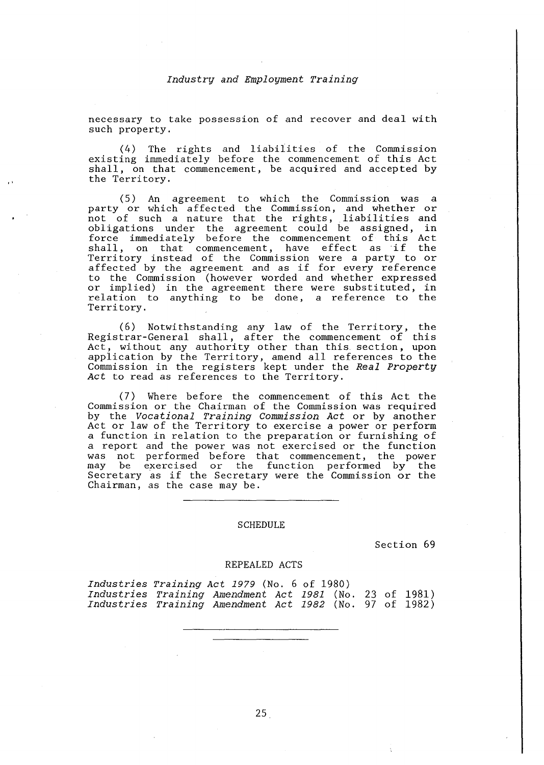necessary to take possession of and recover and deal with such property.

(4) The rights and liabilities of the Commission existing immediately before the commencement of this Act shall, on that commencement, be acquired and accepted by the Territory.

(5) An agreement to which the Commission was *a*  party or which affected the Commission, and whether or not of such a nature that the rights, liabilities and obligations under the agreement could be assigned, in force immediately before the commencement of this Act shall, on that commencement, have effect as if the Territory instead of the Commission were a party to or affected by the agreement and as if for every reference to the Commission (however worded and whether expressed or implied) in the agreement there were substituted, in relation to anything to be done, a reference to the Territory.

(6) Notwithstanding any law of the Territory, the Registrar-General shall, after the commencement of this Act, without any authority other than this section, upon application by the Territory, amend all references to the Commission in the registers kept under the *Real Propertg Act* to read as references to the Territory.

(7) Where before the commencement of this Act the Commission or the Chairman of the Commission was required by the *Vocational Training Commission Act* or by another Act or law of the Territory to exercise a power or perform a function in relation to the preparation or furnishing of a report and the power was not exercised or the function was not performed before that commencement, the power may be exercised or the function performed by the Secretary as if the Secretary were the Commission or the Chairman, as the case may be.

#### SCHEDULE

Section 69

#### REPEALED ACTS

*Industries Training Act 1979* (No. 6 of 1980) *Industries Training Amendment Act 1981* (No. 23 of 1981) *Industries Training Amendment Act 1982* (No. 97 of 1982)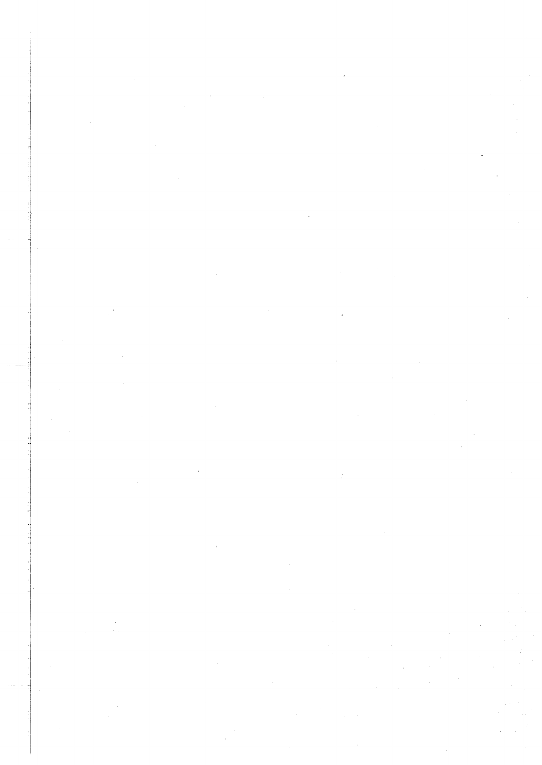